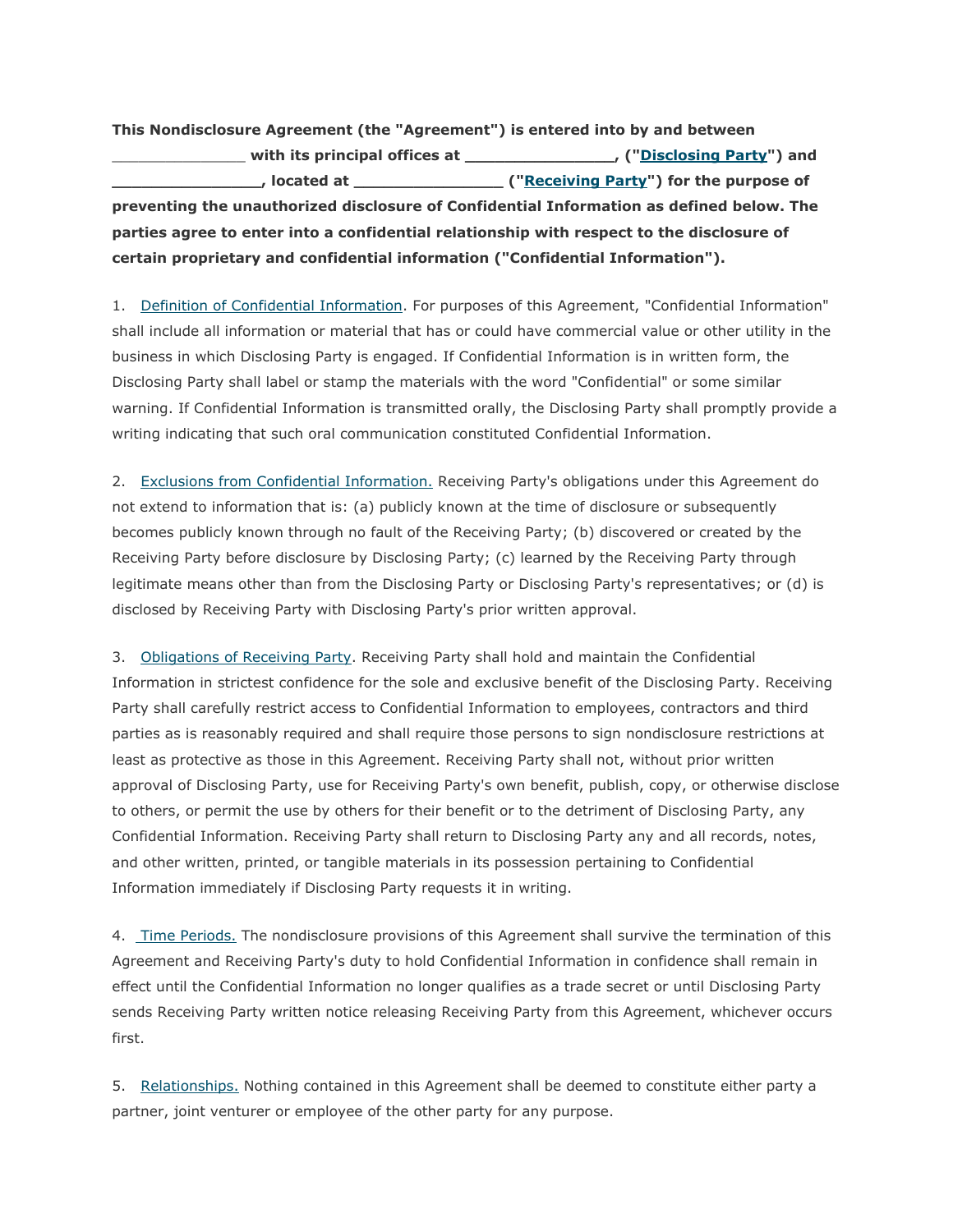**This Nondisclosure Agreement (the "Agreement") is entered into by and between** \_\_\_\_\_\_\_\_\_\_\_\_\_\_\_ **with its principal offices at \_\_\_\_\_\_\_\_\_\_\_\_\_\_\_, (["Disclosing Party"](http://www.ndasforfree.com/NDAS/GetBasicExp.html#Who_Is_Disclosing_Who_Is_Receiving)) and \_\_\_\_\_\_\_\_\_\_\_\_\_\_\_, located at \_\_\_\_\_\_\_\_\_\_\_\_\_\_\_ (["Receiving Party"](http://www.ndasforfree.com/NDAS/GetBasicExp.html#Who_Is_Disclosing_Who_Is_Receiving)) for the purpose of preventing the unauthorized disclosure of Confidential Information as defined below. The parties agree to enter into a confidential relationship with respect to the disclosure of certain proprietary and confidential information ("Confidential Information").**

1. [Definition of Confidential Information.](http://www.ndasforfree.com/NDAS/GetBasicExp.html#2.____Defining_the_Trade_Secrets) For purposes of this Agreement, "Confidential Information" shall include all information or material that has or could have commercial value or other utility in the business in which Disclosing Party is engaged. If Confidential Information is in written form, the Disclosing Party shall label or stamp the materials with the word "Confidential" or some similar warning. If Confidential Information is transmitted orally, the Disclosing Party shall promptly provide a writing indicating that such oral communication constituted Confidential Information.

2. [Exclusions from Confidential Information.](http://www.ndasforfree.com/NDAS/GetBasicExp.html#3.____Excluding_Information_That_Is_Not_Confidential) Receiving Party's obligations under this Agreement do not extend to information that is: (a) publicly known at the time of disclosure or subsequently becomes publicly known through no fault of the Receiving Party; (b) discovered or created by the Receiving Party before disclosure by Disclosing Party; (c) learned by the Receiving Party through legitimate means other than from the Disclosing Party or Disclosing Party's representatives; or (d) is disclosed by Receiving Party with Disclosing Party's prior written approval.

3. [Obligations of Receiving Party.](http://www.ndasforfree.com/NDAS/GetBasicExp.html#4.____Duty_to_Keep_Information_Secret_) Receiving Party shall hold and maintain the Confidential Information in strictest confidence for the sole and exclusive benefit of the Disclosing Party. Receiving Party shall carefully restrict access to Confidential Information to employees, contractors and third parties as is reasonably required and shall require those persons to sign nondisclosure restrictions at least as protective as those in this Agreement. Receiving Party shall not, without prior written approval of Disclosing Party, use for Receiving Party's own benefit, publish, copy, or otherwise disclose to others, or permit the use by others for their benefit or to the detriment of Disclosing Party, any Confidential Information. Receiving Party shall return to Disclosing Party any and all records, notes, and other written, printed, or tangible materials in its possession pertaining to Confidential Information immediately if Disclosing Party requests it in writing.

4. [Time Periods.](http://www.ndasforfree.com/NDAS/GetBasicExp.html#5.____Duration_of_the_Agreement) The nondisclosure provisions of this Agreement shall survive the termination of this Agreement and Receiving Party's duty to hold Confidential Information in confidence shall remain in effect until the Confidential Information no longer qualifies as a trade secret or until Disclosing Party sends Receiving Party written notice releasing Receiving Party from this Agreement, whichever occurs first.

5. [Relationships.](http://www.ndasforfree.com/NDAS/Boilerplate.html#Relationships) Nothing contained in this Agreement shall be deemed to constitute either party a partner, joint venturer or employee of the other party for any purpose.